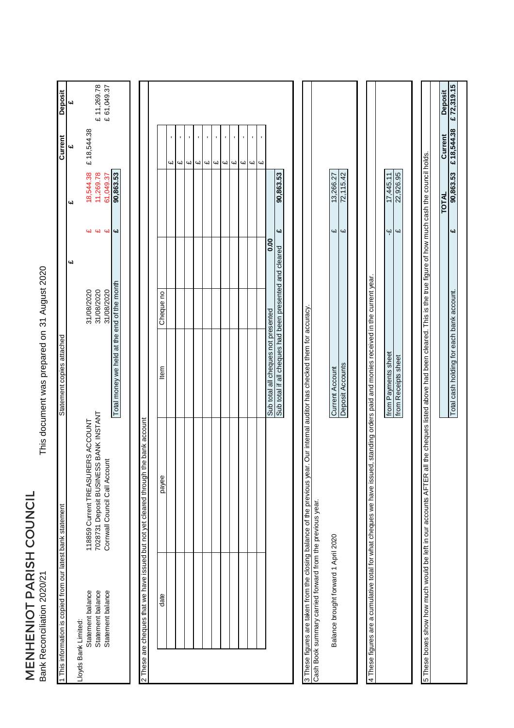MENHENIOT PARISH COUNCIL<br>Bank Reconciliation 2020/21 MENHENIOT PARISH COUNCIL Bank Reconciliation 2020/21

This document was prepared on 31 August 2020 31 August 2020 This document was prepared on

| Deposit                                                     | 4d                   | £ 11,269.78<br>£ 61,049.37                                                                                  |                                             |                                                                                      |           |   |        |                                   |         |    |   |                     |                     |                         |                                     |                                                         |                                                                                                                              |                                                           |                                      |                  |                                                                                                                                       |                     |                         |                                                                                                                                                                            | <b>Deposit</b> |  |
|-------------------------------------------------------------|----------------------|-------------------------------------------------------------------------------------------------------------|---------------------------------------------|--------------------------------------------------------------------------------------|-----------|---|--------|-----------------------------------|---------|----|---|---------------------|---------------------|-------------------------|-------------------------------------|---------------------------------------------------------|------------------------------------------------------------------------------------------------------------------------------|-----------------------------------------------------------|--------------------------------------|------------------|---------------------------------------------------------------------------------------------------------------------------------------|---------------------|-------------------------|----------------------------------------------------------------------------------------------------------------------------------------------------------------------------|----------------|--|
| Current                                                     | 41                   | £18,544.38                                                                                                  |                                             |                                                                                      |           | 4 | ı<br>Ч | $\blacksquare$<br>Сų<br><b>GJ</b> | ×<br>Цl | Цl | Щ | $\blacksquare$<br>Ч | $\blacksquare$<br>Ц | $\overline{\mathbf{u}}$ |                                     |                                                         |                                                                                                                              |                                                           |                                      |                  |                                                                                                                                       |                     |                         |                                                                                                                                                                            | Current        |  |
|                                                             | C,                   | 18,544.38<br>11,269.78<br>61,049.37                                                                         | 90,863.53                                   |                                                                                      |           |   |        |                                   |         |    |   |                     |                     |                         |                                     | 90,863.53                                               |                                                                                                                              |                                                           | 13,266.27                            | 72,115.42        |                                                                                                                                       | 17,445.11           | 22,926.95               |                                                                                                                                                                            | <b>TOTAL</b>   |  |
|                                                             |                      | <b>44 44 44</b><br>W                                                                                        |                                             |                                                                                      |           |   |        |                                   |         |    |   |                     |                     |                         | 0.00                                | બ                                                       |                                                                                                                              |                                                           | CH Z                                 | GL               |                                                                                                                                       | Ψ                   | $\overline{\mathbf{u}}$ |                                                                                                                                                                            |                |  |
|                                                             | 41                   |                                                                                                             |                                             |                                                                                      |           |   |        |                                   |         |    |   |                     |                     |                         |                                     |                                                         |                                                                                                                              |                                                           |                                      |                  |                                                                                                                                       |                     |                         |                                                                                                                                                                            |                |  |
|                                                             |                      | 31/08/2020<br>31/08/2020<br>31/08/2020                                                                      |                                             |                                                                                      | Cheque no |   |        |                                   |         |    |   |                     |                     |                         |                                     |                                                         |                                                                                                                              |                                                           |                                      |                  |                                                                                                                                       |                     |                         |                                                                                                                                                                            |                |  |
| Statement copies attached                                   |                      |                                                                                                             | Total money we held at the end of the month |                                                                                      | Item      |   |        |                                   |         |    |   |                     |                     |                         | Sub total all cheques not presented | Sub total if all cheques had been presented and cleared |                                                                                                                              |                                                           | <b>Current Account</b>               | Deposit Accounts |                                                                                                                                       | from Payments sheet | from Receipts sheet     |                                                                                                                                                                            |                |  |
|                                                             |                      | 7028731 Deposit BUSINESS BANK INSTANT<br>118859 Current TREASURERS ACCOUNT<br>Cornwall Council Call Account |                                             | 2 These are cheques that we have issued but not yet cleared through the bank account | payee     |   |        |                                   |         |    |   |                     |                     |                         |                                     |                                                         | 3 These figures are taken from the closing balance of the previous year. Our internal auditor has checked them for accuracy. |                                                           |                                      |                  | 4 These figures are a cumulative total for what cheques we have issued, standing orders paid and monies received in the current year. |                     |                         | 5 These boxes show how much would be left in our accounts AFTER all the cheques listed above had been cleared. This is the true figure of how much cash the council holds. |                |  |
| 1 This information is copied from our latest bank statement | Lloyds Bank Limited: | Statement balance<br>Statement balance<br>Statement balance                                                 |                                             |                                                                                      | date      |   |        |                                   |         |    |   |                     |                     |                         |                                     |                                                         |                                                                                                                              | Cash Book summary carried forward from the previous year. | Balance brought forward 1 April 2020 |                  |                                                                                                                                       |                     |                         |                                                                                                                                                                            |                |  |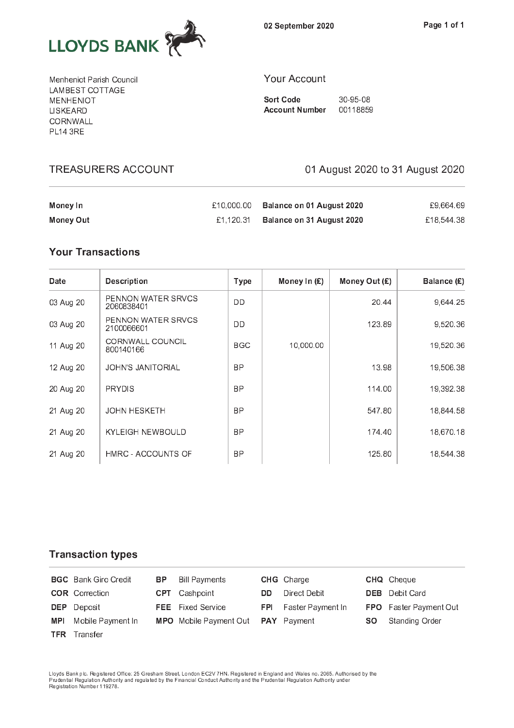

Menheniot Parish Council LAMBEST COTTAGE **MENHENIOT** LISKEARD CORNWALL **PL14 3RE** 

**TREASURERS ACCOUNT** 

#### Your Account

**Sort Code** 30-95-08 **Account Number** 00118859

01 August 2020 to 31 August 2020

| Money In  | £10.000.00 | Balance on 01 August 2020 | £9.664.69  |
|-----------|------------|---------------------------|------------|
| Money Out | £1.120.31  | Balance on 31 August 2020 | £18.544.38 |

# **Your Transactions**

| Date      | <b>Description</b>                   | <b>Type</b> | Money In $(E)$ | Money Out $(E)$ | Balance (£) |
|-----------|--------------------------------------|-------------|----------------|-----------------|-------------|
| 03 Aug 20 | PENNON WATER SRVCS<br>2060838401     | DD          |                | 20.44           | 9,644.25    |
| 03 Aug 20 | PENNON WATER SRVCS<br>2100066601     | DD          |                | 123.89          | 9,520.36    |
| 11 Aug 20 | <b>CORNWALL COUNCIL</b><br>800140166 | <b>BGC</b>  | 10,000.00      |                 | 19,520.36   |
| 12 Aug 20 | <b>JOHN'S JANITORIAL</b>             | <b>BP</b>   |                | 13.98           | 19,506.38   |
| 20 Aug 20 | <b>PRYDIS</b>                        | <b>BP</b>   |                | 114.00          | 19,392.38   |
| 21 Aug 20 | <b>JOHN HESKETH</b>                  | <b>BP</b>   |                | 547.80          | 18,844.58   |
| 21 Aug 20 | <b>KYLEIGH NEWBOULD</b>              | <b>BP</b>   |                | 174.40          | 18,670.18   |
| 21 Aug 20 | HMRC - ACCOUNTS OF                   | <b>BP</b>   |                | 125.80          | 18,544.38   |

## **Transaction types**

|            | <b>BGC</b> Bank Giro Credit | BP . | <b>Bill Payments</b>                             |     | <b>CHG</b> Charge            |     | <b>CHQ</b> Cheque             |
|------------|-----------------------------|------|--------------------------------------------------|-----|------------------------------|-----|-------------------------------|
|            | <b>COR</b> Correction       |      | <b>CPT</b> Cashpoint                             | DD. | Direct Debit                 |     | <b>DEB</b> Debit Card         |
|            | <b>DEP</b> Deposit          |      | <b>FEE</b> Fixed Service                         |     | <b>FPI</b> Faster Payment In |     | <b>FPO</b> Faster Payment Out |
| <b>MPI</b> | Mobile Payment In           |      | <b>MPO</b> Mobile Payment Out <b>PAY</b> Payment |     |                              | SO. | Standing Order                |
|            | <b>TFR</b> Transfer         |      |                                                  |     |                              |     |                               |

Lloyds Bank plc. Registered Office: 25 Gresham Street, London EC2V 7HN. Registered in England and Wales no. 2065. Authorised by the<br>Prudential Regulation Authority and regulated by the Financial Conduct Authority and the P Registration Number 119278.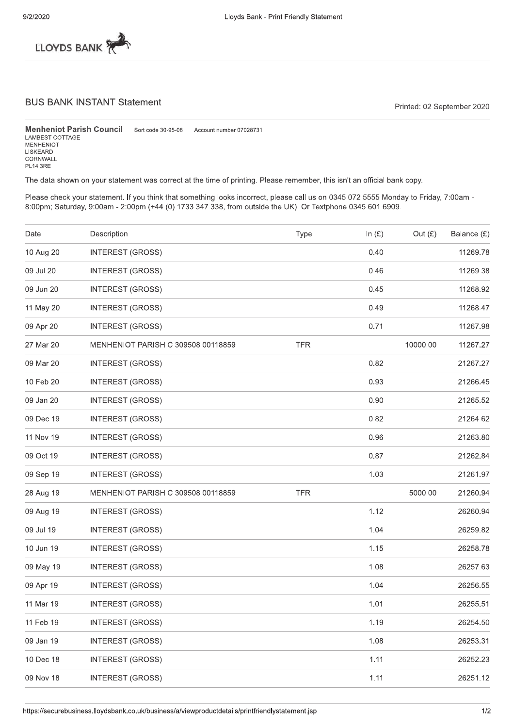

### **BUS BANK INSTANT Statement**

Printed: 02 September 2020

**Menheniot Parish Council** Sort code 30-95-08 Account number 07028731 LAMBEST COTTAGE<br>MENHENIOT LISKEARD CORNWALL **PL14 3RE** 

The data shown on your statement was correct at the time of printing. Please remember, this isn't an official bank copy.

Please check your statement. If you think that something looks incorrect, please call us on 0345 072 5555 Monday to Friday, 7:00am -8:00pm; Saturday, 9:00am - 2:00pm (+44 (0) 1733 347 338, from outside the UK). Or Textphone 0345 601 6909.

| Date      | Description                        | Type       | In $(E)$ | Out $(E)$ | Balance (£) |
|-----------|------------------------------------|------------|----------|-----------|-------------|
| 10 Aug 20 | <b>INTEREST (GROSS)</b>            |            | 0.40     |           | 11269.78    |
| 09 Jul 20 | <b>INTEREST (GROSS)</b>            |            | 0.46     |           | 11269.38    |
| 09 Jun 20 | <b>INTEREST (GROSS)</b>            |            | 0.45     |           | 11268.92    |
| 11 May 20 | <b>INTEREST (GROSS)</b>            |            | 0.49     |           | 11268.47    |
| 09 Apr 20 | <b>INTEREST (GROSS)</b>            |            | 0.71     |           | 11267.98    |
| 27 Mar 20 | MENHENIOT PARISH C 309508 00118859 | <b>TFR</b> |          | 10000.00  | 11267.27    |
| 09 Mar 20 | <b>INTEREST (GROSS)</b>            |            | 0.82     |           | 21267.27    |
| 10 Feb 20 | <b>INTEREST (GROSS)</b>            |            | 0.93     |           | 21266.45    |
| 09 Jan 20 | <b>INTEREST (GROSS)</b>            |            | 0.90     |           | 21265.52    |
| 09 Dec 19 | <b>INTEREST (GROSS)</b>            |            | 0.82     |           | 21264.62    |
| 11 Nov 19 | <b>INTEREST (GROSS)</b>            |            | 0.96     |           | 21263.80    |
| 09 Oct 19 | <b>INTEREST (GROSS)</b>            |            | 0.87     |           | 21262.84    |
| 09 Sep 19 | <b>INTEREST (GROSS)</b>            |            | 1.03     |           | 21261.97    |
| 28 Aug 19 | MENHENIOT PARISH C 309508 00118859 | <b>TFR</b> |          | 5000.00   | 21260.94    |
| 09 Aug 19 | <b>INTEREST (GROSS)</b>            |            | 1.12     |           | 26260.94    |
| 09 Jul 19 | <b>INTEREST (GROSS)</b>            |            | 1.04     |           | 26259.82    |
| 10 Jun 19 | <b>INTEREST (GROSS)</b>            |            | 1.15     |           | 26258.78    |
| 09 May 19 | <b>INTEREST (GROSS)</b>            |            | 1.08     |           | 26257.63    |
| 09 Apr 19 | <b>INTEREST (GROSS)</b>            |            | 1.04     |           | 26256.55    |
| 11 Mar 19 | <b>INTEREST (GROSS)</b>            |            | 1.01     |           | 26255.51    |
| 11 Feb 19 | <b>INTEREST (GROSS)</b>            |            | 1.19     |           | 26254.50    |
| 09 Jan 19 | <b>INTEREST (GROSS)</b>            |            | 1.08     |           | 26253.31    |
| 10 Dec 18 | <b>INTEREST (GROSS)</b>            |            | 1.11     |           | 26252.23    |
| 09 Nov 18 | <b>INTEREST (GROSS)</b>            |            | 1.11     |           | 26251.12    |